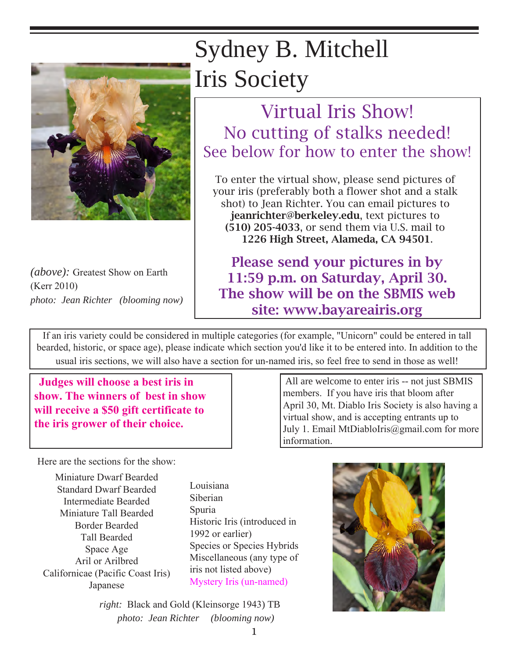

*(above):* Greatest Show on Earth (Kerr 2010) *photo: Jean Richter (blooming now)*

## Sydney B. Mitchell Iris Society

## Virtual Iris Show! No cutting of stalks needed! See below for how to enter the show!

To enter the virtual show, please send pictures of your iris (preferably both a flower shot and a stalk shot) to Jean Richter. You can email pictures to jeanrichter@berkeley.edu, text pictures to (510) 205-4033, or send them via U.S. mail to 1226 High Street, Alameda, CA 94501.

Please send your pictures in by 11:59 p.m. on Saturday, April 30. The show will be on the SBMIS web site: www.bayareairis.org

If an iris variety could be considered in multiple categories (for example, "Unicorn" could be entered in tall bearded, historic, or space age), please indicate which section you'd like it to be entered into. In addition to the usual iris sections, we will also have a section for un-named iris, so feel free to send in those as well!

 **Judges will choose a best iris in show. The winners of best in show will receive a \$50 gift certificate to the iris grower of their choice.**

 All are welcome to enter iris -- not just SBMIS members. If you have iris that bloom after April 30, Mt. Diablo Iris Society is also having a virtual show, and is accepting entrants up to July 1. Email MtDiabloIris@gmail.com for more information.

Here are the sections for the show:

Miniature Dwarf Bearded Standard Dwarf Bearded Intermediate Bearded Miniature Tall Bearded Border Bearded Tall Bearded Space Age Aril or Arilbred Californicae (Pacific Coast Iris) Japanese

Louisiana Siberian Spuria Historic Iris (introduced in 1992 or earlier) Species or Species Hybrids Miscellaneous (any type of iris not listed above) Mystery Iris (un-named)

*right:* Black and Gold (Kleinsorge 1943) TB *photo: Jean Richter (blooming now)* 

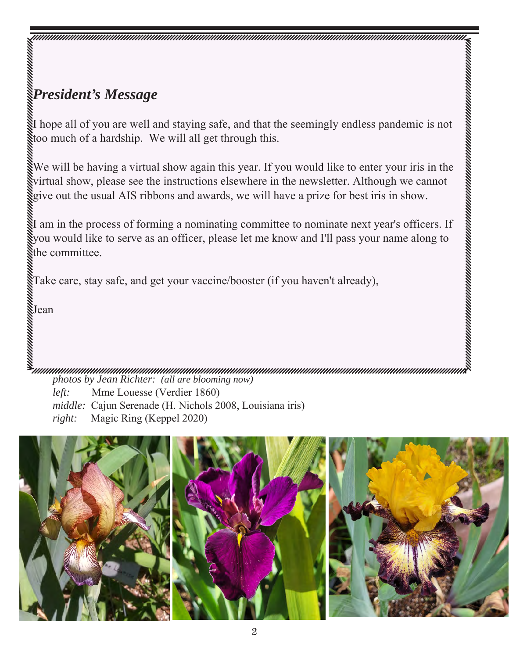## *President's Message*

I hope all of you are well and staying safe, and that the seemingly endless pandemic is not too much of a hardship. We will all get through this.

We will be having a virtual show again this year. If you would like to enter your iris in the virtual show, please see the instructions elsewhere in the newsletter. Although we cannot give out the usual AIS ribbons and awards, we will have a prize for best iris in show.

amamanin wana matama wa mshindi wa mshindi wa mshindi wa mshindi wa mshindi wa mshindi wa mshindi wa mshindi w

I am in the process of forming a nominating committee to nominate next year's officers. If you would like to serve as an officer, please let me know and I'll pass your name along to the committee.

Take care, stay safe, and get your vaccine/booster (if you haven't already),

Jean

*photos by Jean Richter: (all are blooming now)*

*left:* Mme Louesse (Verdier 1860) *middle:* Cajun Serenade (H. Nichols 2008, Louisiana iris) *right:* Magic Ring (Keppel 2020)